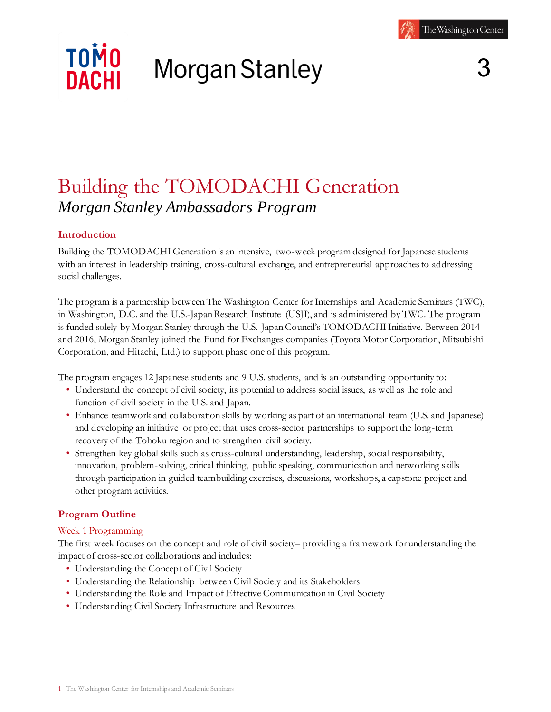# **TOMO** Morgan Stanley **NACHI**

# Building the TOMODACHI Generation *Morgan Stanley Ambassadors Program*

# **Introduction**

Building the TOMODACHI Generation is an intensive, two-week program designed for Japanese students with an interest in leadership training, cross-cultural exchange, and entrepreneurial approaches to addressing social challenges.

The program is a partnership between The Washington Center for Internships and Academic Seminars (TWC), in Washington, D.C. and the U.S.-Japan Research Institute (USJI), and is administered by TWC. The program is funded solely by Morgan Stanley through the U.S.-Japan Council's TOMODACHI Initiative. Between 2014 and 2016, Morgan Stanley joined the Fund for Exchanges companies (Toyota Motor Corporation, Mitsubishi Corporation, and Hitachi, Ltd.) to support phase one of this program.

The program engages 12 Japanese students and 9 U.S. students, and is an outstanding opportunity to:

- Understand the concept of civil society, its potential to address social issues, as well as the role and function of civil society in the U.S. and Japan.
- Enhance teamwork and collaboration skills by working as part of an international team (U.S. and Japanese) and developing an initiative or project that uses cross-sector partnerships to support the long-term recovery of the Tohoku region and to strengthen civil society.
- Strengthen key global skills such as cross-cultural understanding, leadership, social responsibility, innovation, problem-solving, critical thinking, public speaking, communication and networking skills through participation in guided teambuilding exercises, discussions, workshops, a capstone project and other program activities.

# **Program Outline**

# Week 1 Programming

The first week focuses on the concept and role of civil society– providing a framework for understanding the impact of cross-sector collaborations and includes:

- Understanding the Concept of Civil Society
- Understanding the Relationship between Civil Society and its Stakeholders
- Understanding the Role and Impact of Effective Communication in Civil Society
- Understanding Civil Society Infrastructure and Resources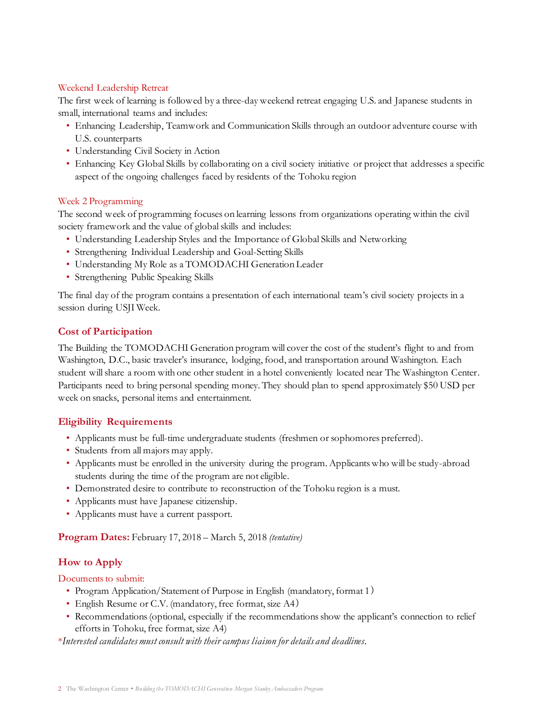#### Weekend Leadership Retreat

The first week of learning is followed by a three-day weekend retreat engaging U.S. and Japanese students in small, international teams and includes:

- Enhancing Leadership, Teamwork and Communication Skills through an outdoor adventure course with U.S. counterparts
- Understanding Civil Society in Action
- Enhancing Key Global Skills by collaborating on a civil society initiative or project that addresses a specific aspect of the ongoing challenges faced by residents of the Tohoku region

#### Week 2 Programming

The second week of programming focuses on learning lessons from organizations operating within the civil society framework and the value of global skills and includes:

- Understanding Leadership Styles and the Importance of Global Skills and Networking
- Strengthening Individual Leadership and Goal-Setting Skills
- Understanding My Role as a TOMODACHI Generation Leader
- Strengthening Public Speaking Skills

The final day of the program contains a presentation of each international team's civil society projects in a session during USJI Week.

# **Cost of Participation**

The Building the TOMODACHI Generation program will cover the cost of the student's flight to and from Washington, D.C., basic traveler's insurance, lodging, food, and transportation around Washington. Each student will share a room with one other student in a hotel conveniently located near The Washington Center. Participants need to bring personal spending money. They should plan to spend approximately \$50 USD per week on snacks, personal items and entertainment.

# **Eligibility Requirements**

- Applicants must be full-time undergraduate students (freshmen or sophomores preferred).
- Students from all majors may apply.
- Applicants must be enrolled in the university during the program. Applicants who will be study-abroad students during the time of the program are not eligible.
- Demonstrated desire to contribute to reconstruction of the Tohoku region is a must.
- Applicants must have Japanese citizenship.
- Applicants must have a current passport.

**Program Dates:** February 17, 2018 – March 5, 2018 *(tentative)*

# **How to Apply**

Documents to submit:

- Program Application/Statement of Purpose in English (mandatory, format 1)
- English Resume or C.V. (mandatory, free format, size A4)
- Recommendations (optional, especially if the recommendations show the applicant's connection to relief efforts in Tohoku, free format, size A4)

\**Interested candidates must consult with their campus liaison for details and deadlines.*